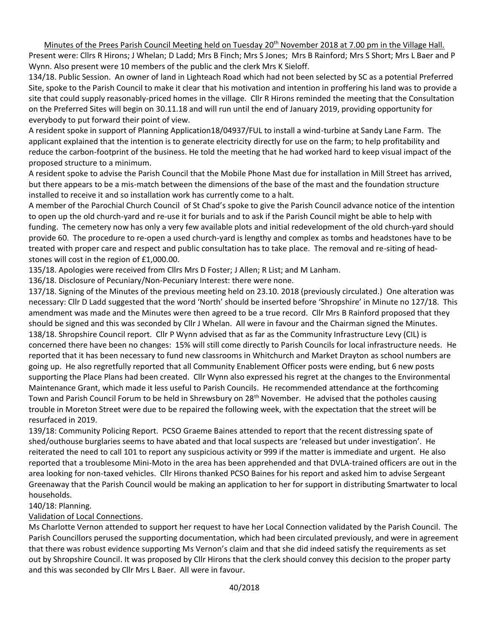Minutes of the Prees Parish Council Meeting held on Tuesday 20<sup>th</sup> November 2018 at 7.00 pm in the Village Hall. Present were: Cllrs R Hirons; J Whelan; D Ladd; Mrs B Finch; Mrs S Jones; Mrs B Rainford; Mrs S Short; Mrs L Baer and P Wynn. Also present were 10 members of the public and the clerk Mrs K Sieloff.

134/18. Public Session. An owner of land in Lighteach Road which had not been selected by SC as a potential Preferred Site, spoke to the Parish Council to make it clear that his motivation and intention in proffering his land was to provide a site that could supply reasonably-priced homes in the village. Cllr R Hirons reminded the meeting that the Consultation on the Preferred Sites will begin on 30.11.18 and will run until the end of January 2019, providing opportunity for everybody to put forward their point of view.

A resident spoke in support of Planning Application18/04937/FUL to install a wind-turbine at Sandy Lane Farm. The applicant explained that the intention is to generate electricity directly for use on the farm; to help profitability and reduce the carbon-footprint of the business. He told the meeting that he had worked hard to keep visual impact of the proposed structure to a minimum.

A resident spoke to advise the Parish Council that the Mobile Phone Mast due for installation in Mill Street has arrived, but there appears to be a mis-match between the dimensions of the base of the mast and the foundation structure installed to receive it and so installation work has currently come to a halt.

A member of the Parochial Church Council of St Chad's spoke to give the Parish Council advance notice of the intention to open up the old church-yard and re-use it for burials and to ask if the Parish Council might be able to help with funding. The cemetery now has only a very few available plots and initial redevelopment of the old church-yard should provide 60. The procedure to re-open a used church-yard is lengthy and complex as tombs and headstones have to be treated with proper care and respect and public consultation has to take place. The removal and re-siting of headstones will cost in the region of £1,000.00.

135/18. Apologies were received from Cllrs Mrs D Foster; J Allen; R List; and M Lanham.

136/18. Disclosure of Pecuniary/Non-Pecuniary Interest: there were none.

137/18. Signing of the Minutes of the previous meeting held on 23.10. 2018 (previously circulated.) One alteration was necessary: Cllr D Ladd suggested that the word 'North' should be inserted before 'Shropshire' in Minute no 127/18. This amendment was made and the Minutes were then agreed to be a true record. Cllr Mrs B Rainford proposed that they should be signed and this was seconded by Cllr J Whelan. All were in favour and the Chairman signed the Minutes. 138/18. Shropshire Council report. Cllr P Wynn advised that as far as the Community Infrastructure Levy (CIL) is concerned there have been no changes: 15% will still come directly to Parish Councils for local infrastructure needs. He reported that it has been necessary to fund new classrooms in Whitchurch and Market Drayton as school numbers are going up. He also regretfully reported that all Community Enablement Officer posts were ending, but 6 new posts supporting the Place Plans had been created. Cllr Wynn also expressed his regret at the changes to the Environmental Maintenance Grant, which made it less useful to Parish Councils. He recommended attendance at the forthcoming Town and Parish Council Forum to be held in Shrewsbury on 28<sup>th</sup> November. He advised that the potholes causing trouble in Moreton Street were due to be repaired the following week, with the expectation that the street will be resurfaced in 2019.

139/18: Community Policing Report. PCSO Graeme Baines attended to report that the recent distressing spate of shed/outhouse burglaries seems to have abated and that local suspects are 'released but under investigation'. He reiterated the need to call 101 to report any suspicious activity or 999 if the matter is immediate and urgent. He also reported that a troublesome Mini-Moto in the area has been apprehended and that DVLA-trained officers are out in the area looking for non-taxed vehicles. Cllr Hirons thanked PCSO Baines for his report and asked him to advise Sergeant Greenaway that the Parish Council would be making an application to her for support in distributing Smartwater to local households.

#### 140/18: Planning.

# Validation of Local Connections.

Ms Charlotte Vernon attended to support her request to have her Local Connection validated by the Parish Council. The Parish Councillors perused the supporting documentation, which had been circulated previously, and were in agreement that there was robust evidence supporting Ms Vernon's claim and that she did indeed satisfy the requirements as set out by Shropshire Council. It was proposed by Cllr Hirons that the clerk should convey this decision to the proper party and this was seconded by Cllr Mrs L Baer. All were in favour.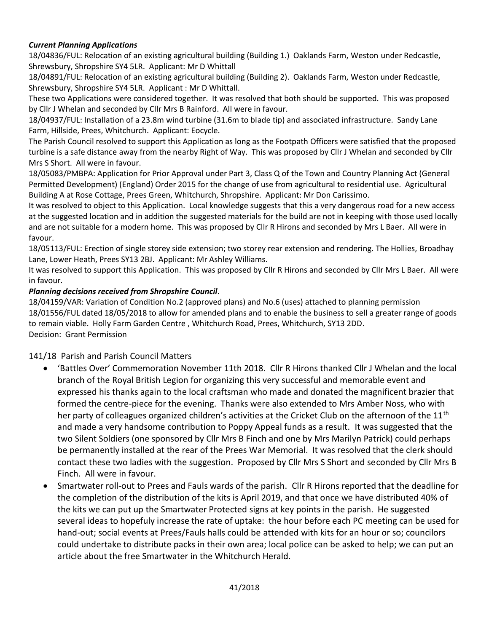### *Current Planning Applications*

18/04836/FUL: Relocation of an existing agricultural building (Building 1.) Oaklands Farm, Weston under Redcastle, Shrewsbury, Shropshire SY4 5LR. Applicant: Mr D Whittall

18/04891/FUL: Relocation of an existing agricultural building (Building 2). Oaklands Farm, Weston under Redcastle, Shrewsbury, Shropshire SY4 5LR. Applicant : Mr D Whittall.

These two Applications were considered together. It was resolved that both should be supported. This was proposed by Cllr J Whelan and seconded by Cllr Mrs B Rainford. All were in favour.

18/04937/FUL: Installation of a 23.8m wind turbine (31.6m to blade tip) and associated infrastructure. Sandy Lane Farm, Hillside, Prees, Whitchurch. Applicant: Eocycle.

The Parish Council resolved to support this Application as long as the Footpath Officers were satisfied that the proposed turbine is a safe distance away from the nearby Right of Way. This was proposed by Cllr J Whelan and seconded by Cllr Mrs S Short. All were in favour.

18/05083/PMBPA: Application for Prior Approval under Part 3, Class Q of the Town and Country Planning Act (General Permitted Development) (England) Order 2015 for the change of use from agricultural to residential use. Agricultural Building A at Rose Cottage, Prees Green, Whitchurch, Shropshire. Applicant: Mr Don Carissimo.

It was resolved to object to this Application. Local knowledge suggests that this a very dangerous road for a new access at the suggested location and in addition the suggested materials for the build are not in keeping with those used locally and are not suitable for a modern home. This was proposed by Cllr R Hirons and seconded by Mrs L Baer. All were in favour.

18/05113/FUL: Erection of single storey side extension; two storey rear extension and rendering. The Hollies, Broadhay Lane, Lower Heath, Prees SY13 2BJ. Applicant: Mr Ashley Williams.

It was resolved to support this Application. This was proposed by Cllr R Hirons and seconded by Cllr Mrs L Baer. All were in favour.

### *Planning decisions received from Shropshire Council*.

18/04159/VAR: Variation of Condition No.2 (approved plans) and No.6 (uses) attached to planning permission 18/01556/FUL dated 18/05/2018 to allow for amended plans and to enable the business to sell a greater range of goods to remain viable. Holly Farm Garden Centre , Whitchurch Road, Prees, Whitchurch, SY13 2DD. Decision: Grant Permission

# 141/18 Parish and Parish Council Matters

- 'Battles Over' Commemoration November 11th 2018. Cllr R Hirons thanked Cllr J Whelan and the local branch of the Royal British Legion for organizing this very successful and memorable event and expressed his thanks again to the local craftsman who made and donated the magnificent brazier that formed the centre-piece for the evening. Thanks were also extended to Mrs Amber Noss, who with her party of colleagues organized children's activities at the Cricket Club on the afternoon of the  $11<sup>th</sup>$ and made a very handsome contribution to Poppy Appeal funds as a result. It was suggested that the two Silent Soldiers (one sponsored by Cllr Mrs B Finch and one by Mrs Marilyn Patrick) could perhaps be permanently installed at the rear of the Prees War Memorial. It was resolved that the clerk should contact these two ladies with the suggestion. Proposed by Cllr Mrs S Short and seconded by Cllr Mrs B Finch. All were in favour.
- Smartwater roll-out to Prees and Fauls wards of the parish. Cllr R Hirons reported that the deadline for the completion of the distribution of the kits is April 2019, and that once we have distributed 40% of the kits we can put up the Smartwater Protected signs at key points in the parish. He suggested several ideas to hopefuly increase the rate of uptake: the hour before each PC meeting can be used for hand-out; social events at Prees/Fauls halls could be attended with kits for an hour or so; councilors could undertake to distribute packs in their own area; local police can be asked to help; we can put an article about the free Smartwater in the Whitchurch Herald.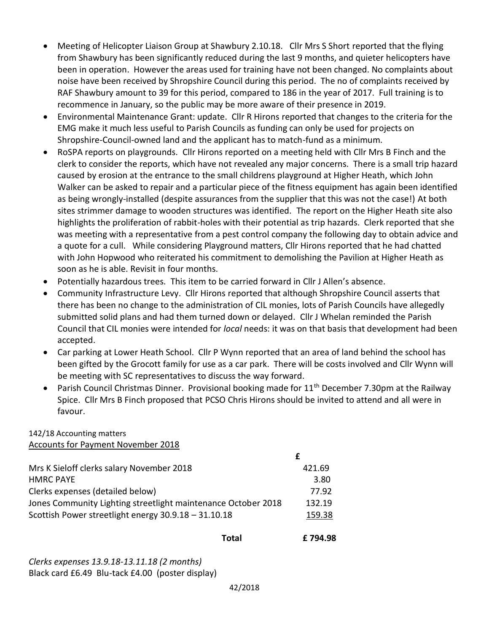- Meeting of Helicopter Liaison Group at Shawbury 2.10.18. Cllr Mrs S Short reported that the flying from Shawbury has been significantly reduced during the last 9 months, and quieter helicopters have been in operation. However the areas used for training have not been changed. No complaints about noise have been received by Shropshire Council during this period. The no of complaints received by RAF Shawbury amount to 39 for this period, compared to 186 in the year of 2017. Full training is to recommence in January, so the public may be more aware of their presence in 2019.
- Environmental Maintenance Grant: update. Cllr R Hirons reported that changes to the criteria for the EMG make it much less useful to Parish Councils as funding can only be used for projects on Shropshire-Council-owned land and the applicant has to match-fund as a minimum.
- RoSPA reports on playgrounds. Cllr Hirons reported on a meeting held with Cllr Mrs B Finch and the clerk to consider the reports, which have not revealed any major concerns. There is a small trip hazard caused by erosion at the entrance to the small childrens playground at Higher Heath, which John Walker can be asked to repair and a particular piece of the fitness equipment has again been identified as being wrongly-installed (despite assurances from the supplier that this was not the case!) At both sites strimmer damage to wooden structures was identified. The report on the Higher Heath site also highlights the proliferation of rabbit-holes with their potential as trip hazards. Clerk reported that she was meeting with a representative from a pest control company the following day to obtain advice and a quote for a cull. While considering Playground matters, Cllr Hirons reported that he had chatted with John Hopwood who reiterated his commitment to demolishing the Pavilion at Higher Heath as soon as he is able. Revisit in four months.
- Potentially hazardous trees. This item to be carried forward in Cllr J Allen's absence.
- Community Infrastructure Levy. Cllr Hirons reported that although Shropshire Council asserts that there has been no change to the administration of CIL monies, lots of Parish Councils have allegedly submitted solid plans and had them turned down or delayed. Cllr J Whelan reminded the Parish Council that CIL monies were intended for *local* needs: it was on that basis that development had been accepted.
- Car parking at Lower Heath School. Cllr P Wynn reported that an area of land behind the school has been gifted by the Grocott family for use as a car park. There will be costs involved and Cllr Wynn will be meeting with SC representatives to discuss the way forward.
- Parish Council Christmas Dinner. Provisional booking made for  $11<sup>th</sup>$  December 7.30pm at the Railway Spice. Cllr Mrs B Finch proposed that PCSO Chris Hirons should be invited to attend and all were in favour.

### 142/18 Accounting matters Accounts for Payment November 2018

| Mrs K Sieloff clerks salary November 2018                     | 421.69 |
|---------------------------------------------------------------|--------|
| <b>HMRC PAYE</b>                                              | 3.80   |
| Clerks expenses (detailed below)                              | 77.92  |
| Jones Community Lighting streetlight maintenance October 2018 | 132.19 |
| Scottish Power streetlight energy 30.9.18 - 31.10.18          | 159.38 |
|                                                               |        |

 **Total £ 794.98** 

*Clerks expenses 13.9.18-13.11.18 (2 months)* Black card £6.49 Blu-tack £4.00 (poster display)